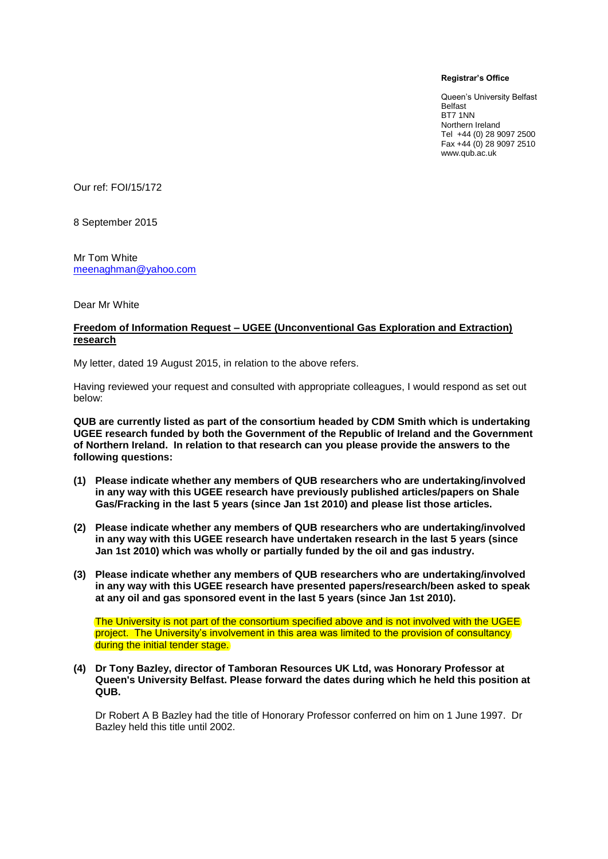## **Registrar's Office**

Queen's University Belfast Belfast BT7 1NN Northern Ireland Tel +44 (0) 28 9097 2500 Fax +44 (0) 28 9097 2510 www.qub.ac.uk

Our ref: FOI/15/172

8 September 2015

Mr Tom White [meenaghman@yahoo.com](mailto:meenaghman@yahoo.com)

Dear Mr White

## **Freedom of Information Request – UGEE (Unconventional Gas Exploration and Extraction) research**

My letter, dated 19 August 2015, in relation to the above refers.

Having reviewed your request and consulted with appropriate colleagues, I would respond as set out below:

**QUB are currently listed as part of the consortium headed by CDM Smith which is undertaking UGEE research funded by both the Government of the Republic of Ireland and the Government of Northern Ireland. In relation to that research can you please provide the answers to the following questions:**

- **(1) Please indicate whether any members of QUB researchers who are undertaking/involved in any way with this UGEE research have previously published articles/papers on Shale Gas/Fracking in the last 5 years (since Jan 1st 2010) and please list those articles.**
- **(2) Please indicate whether any members of QUB researchers who are undertaking/involved in any way with this UGEE research have undertaken research in the last 5 years (since Jan 1st 2010) which was wholly or partially funded by the oil and gas industry.**
- **(3) Please indicate whether any members of QUB researchers who are undertaking/involved in any way with this UGEE research have presented papers/research/been asked to speak at any oil and gas sponsored event in the last 5 years (since Jan 1st 2010).**

The University is not part of the consortium specified above and is not involved with the UGEE project. The University's involvement in this area was limited to the provision of consultancy during the initial tender stage.

**(4) Dr Tony Bazley, director of Tamboran Resources UK Ltd, was Honorary Professor at Queen's University Belfast. Please forward the dates during which he held this position at QUB.**

Dr Robert A B Bazley had the title of Honorary Professor conferred on him on 1 June 1997. Dr Bazley held this title until 2002.